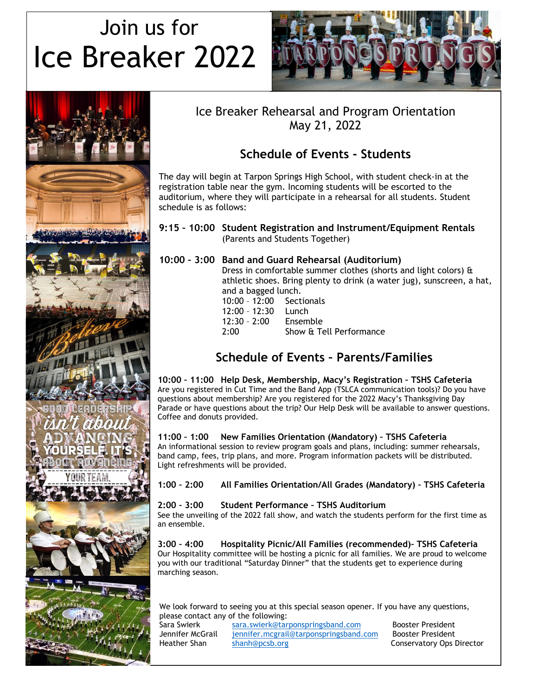# Join us for Ice Breaker 2022





## Ice Breaker Rehearsal and Program Orientation May 21, 2022

# **Schedule of Events - Students**

The day will begin at Tarpon Springs High School, with student check-in at the registration table near the gym. Incoming students will be escorted to the auditorium, where they will participate in a rehearsal for all students. Student schedule is as follows:

#### **9:15 – 10:00 Student Registration and Instrument/Equipment Rentals** (Parents and Students Together)

## **10:00 – 3:00 Band and Guard Rehearsal (Auditorium)**

Dress in comfortable summer clothes (shorts and light colors) & athletic shoes. Bring plenty to drink (a water jug), sunscreen, a hat, and a bagged lunch.

| 10:00 - 12:00 Sectionals |                         |
|--------------------------|-------------------------|
| 12:00 - 12:30 Lunch      |                         |
| 12:30 - 2:00             | Ensemble                |
| 2:00                     | Show & Tell Performance |
|                          |                         |

## **Schedule of Events – Parents/Families**

**10:00 – 11:00 Help Desk, Membership, Macy's Registration – TSHS Cafeteria** Are you registered in Cut Time and the Band App (TSLCA communication tools)? Do you have questions about membership? Are you registered for the 2022 Macy's Thanksgiving Day Parade or have questions about the trip? Our Help Desk will be available to answer questions. Coffee and donuts provided.

**11:00 – 1:00 New Families Orientation (Mandatory) – TSHS Cafeteria** An informational session to review program goals and plans, including: summer rehearsals, band camp, fees, trip plans, and more. Program information packets will be distributed. Light refreshments will be provided.

#### **1:00 – 2:00 All Families Orientation/All Grades (Mandatory) – TSHS Cafeteria**

### **2:00 – 3:00 Student Performance – TSHS Auditorium**

See the unveiling of the 2022 fall show, and watch the students perform for the first time as an ensemble.

**3:00 – 4:00 Hospitality Picnic/All Families (recommended)– TSHS Cafeteria** Our Hospitality committee will be hosting a picnic for all families. We are proud to welcome you with our traditional "Saturday Dinner" that the students get to experience during marching season.

We look forward to seeing you at this special season opener. If you have any questions, please contact any of the following:

| Sara Swierk      |  |
|------------------|--|
| Jennifer McGrail |  |
| Heather Shan     |  |

sara.swierk @tarponspringsband.com Booster President<br>tennifer.mcgrail@tarponspringsband.com Booster President [jennifer.mcgrail@tarponspringsband.com](mailto:jennifer.mcgrail@tarponspringsband.com) [shanh@pcsb.org](mailto:shanh@pcsb.org) Conservatory Ops Director